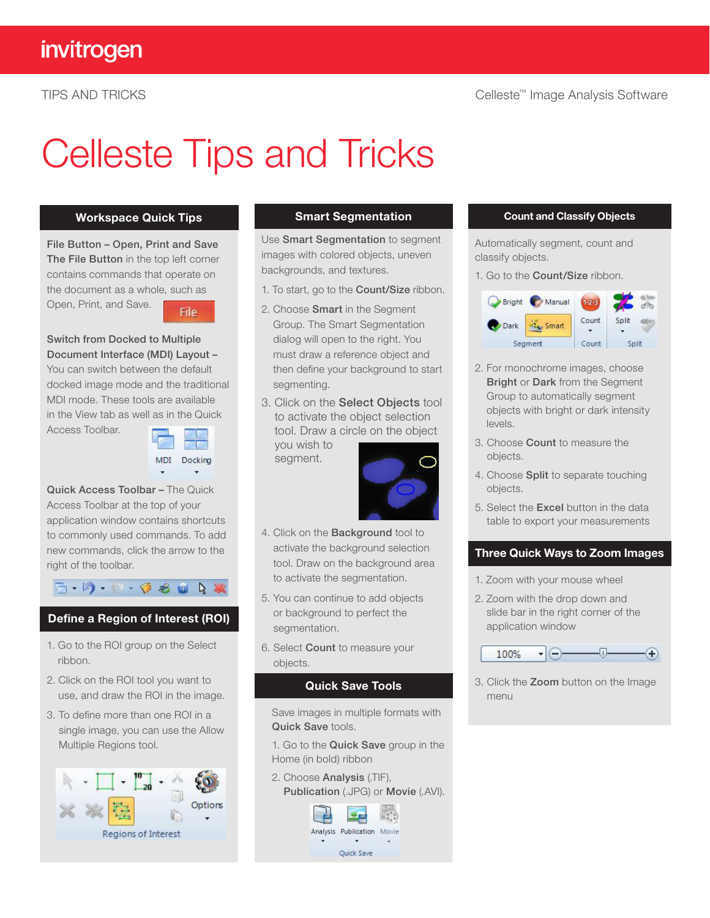# Celleste Tips and Tricks

#### Workspace Quick Tips

File Button – Open, Print and Save The File Button in the top left corner contains commands that operate on the document as a whole, such as Open, Print, and Save.



#### Switch from Docked to Multiple Document Interface (MDI) Layout –

You can switch between the default docked image mode and the traditional MDI mode. These tools are available in the View tab as well as in the Quick

Access Toolbar.



 $\mathbb{R}$ 

Quick Access Toolbar – The Quick Access Toolbar at the top of your application window contains shortcuts to commonly used commands. To add new commands, click the arrow to the right of the toolbar.

 $F - F$   $F - G$   $F = G$ 

- Define a Region of Interest (ROI)
- 1. Go to the ROI group on the Select ribbon.
- 2. Click on the ROI tool you want to use, and draw the ROI in the image.
- 3. To define more than one ROI in a single image, you can use the Allow Multiple Regions tool.



#### Smart Segmentation

Use Smart Segmentation to segment images with colored objects, uneven backgrounds, and textures.

- 1. To start, go to the Count/Size ribbon.
- 2. Choose Smart in the Segment Group. The Smart Segmentation dialog will open to the right. You must draw a reference object and then define your background to start segmenting.
- 3. Click on the Select Objects tool to activate the object selection tool. Draw a circle on the object

you wish to segment.



- 4. Click on the Background tool to activate the background selection tool. Draw on the background area to activate the segmentation.
- 5. You can continue to add objects or background to perfect the segmentation.
- 6. Select Count to measure your objects.

#### Quick Save Tools

Save images in multiple formats with Quick Save tools.

1. Go to the Quick Save group in the Home (in bold) ribbon

2. Choose Analysis (.TIF),



#### Count and Classify Objects

Automatically segment, count and classify objects.

1. Go to the Count/Size ribbon.



- 2. For monochrome images, choose **Bright or Dark from the Segment** Group to automatically segment objects with bright or dark intensity levels.
- 3. Choose Count to measure the objects.
- 4. Choose Split to separate touching objects.
- 5. Select the Excel button in the data table to export your measurements

#### Three Quick Ways to Zoom Images

- 1. Zoom with your mouse wheel
- 2. Zoom with the drop down and slide bar in the right corner of the application window



3. Click the Zoom button on the Image menu